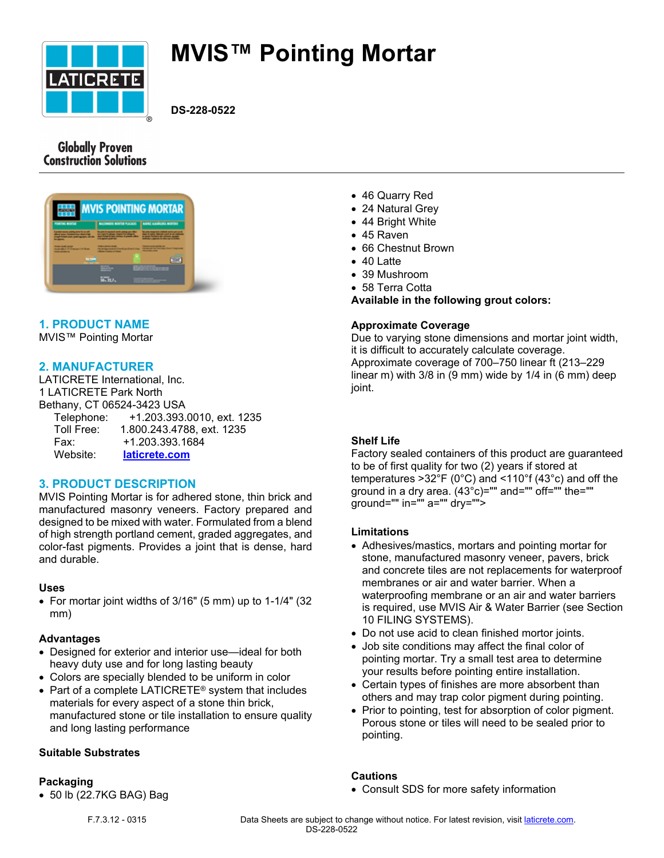

# **MVIS™ Pointing Mortar**

**DS-228-0522**

# **Globally Proven Construction Solutions**

|                                                                                                                                   | <b>MVIS POINTING MORTAR</b>                                                                                                                                                                                                                                                                                                                                                                                                                   |
|-----------------------------------------------------------------------------------------------------------------------------------|-----------------------------------------------------------------------------------------------------------------------------------------------------------------------------------------------------------------------------------------------------------------------------------------------------------------------------------------------------------------------------------------------------------------------------------------------|
| <b><i>MORTING BESTER</i></b>                                                                                                      | LAFIC ASSOCIATE NOTES<br><b>BACONGEE BOETER FLACAGE  </b>                                                                                                                                                                                                                                                                                                                                                                                     |
| I granted movement pointing market for any wife<br>a characterized a final of<br>and furniture counts are designations, which the | the pitch is requested as the primary part office<br><b>By calls anywhere children shine par an in</b><br>the first property the company's property and the company's<br>they further in high-termined in president affects<br>In case of the first in the minimals carried at<br><b>Bulliottic company's in colors are a littless</b><br><b>EXAMPLEMENT</b>                                                                                  |
| checker-back but an<br>the percentage of the main press of the state<br><b><i>SAN HOUSE</i></b>                                   | Country and which the<br>chairman is a both<br><b>Countries for Fascing Library Code from</b><br>de la teachine de constitue de l'artification de contrattant<br><b>PERSONAL PROPERTY</b><br><b><i><u>Program and Contract and Contract and Contract and Contract and Contract and Contract and Contract and Contract and Contract and Contract and Contract and Contract and Contract and Contract and Contract and Contract and</u></i></b> |
|                                                                                                                                   |                                                                                                                                                                                                                                                                                                                                                                                                                                               |
|                                                                                                                                   | ---                                                                                                                                                                                                                                                                                                                                                                                                                                           |
|                                                                                                                                   | 远远。                                                                                                                                                                                                                                                                                                                                                                                                                                           |
|                                                                                                                                   |                                                                                                                                                                                                                                                                                                                                                                                                                                               |

# **1. PRODUCT NAME**

MVIS™ Pointing Mortar

# **2. MANUFACTURER**

LATICRETE International, Inc. 1 LATICRETE Park North Bethany, CT 06524-3423 USA Telephone: +1.203.393.0010, ext. 1235 Toll Free: 1.800.243.4788, ext. 1235 Fax: +1.203.393.1684 Website: **[laticrete.com](https://laticrete.com/)**

# **3. PRODUCT DESCRIPTION**

MVIS Pointing Mortar is for adhered stone, thin brick and manufactured masonry veneers. Factory prepared and designed to be mixed with water. Formulated from a blend of high strength portland cement, graded aggregates, and color-fast pigments. Provides a joint that is dense, hard and durable.

### **Uses**

• For mortar joint widths of 3/16" (5 mm) up to 1-1/4" (32 mm)

### **Advantages**

- Designed for exterior and interior use—ideal for both heavy duty use and for long lasting beauty
- Colors are specially blended to be uniform in color
- Part of a complete LATICRETE® system that includes materials for every aspect of a stone thin brick, manufactured stone or tile installation to ensure quality and long lasting performance

### **Suitable Substrates**

### **Packaging**

• 50 lb (22.7KG BAG) Bag

- 46 Quarry Red
- 24 Natural Grey
- 44 Bright White
- 45 Raven
- 66 Chestnut Brown
- 40 Latte
- 39 Mushroom
- 58 Terra Cotta

**Available in the following grout colors:**

### **Approximate Coverage**

Due to varying stone dimensions and mortar joint width, it is difficult to accurately calculate coverage. Approximate coverage of 700–750 linear ft (213–229 linear m) with 3/8 in (9 mm) wide by 1/4 in (6 mm) deep joint.

### **Shelf Life**

Factory sealed containers of this product are guaranteed to be of first quality for two (2) years if stored at temperatures >32°F (0°C) and <110°f (43°c) and off the ground in a dry area. (43°c)="" and="" off="" the="" ground="" in="" a="" dry="">

### **Limitations**

- Adhesives/mastics, mortars and pointing mortar for stone, manufactured masonry veneer, pavers, brick and concrete tiles are not replacements for waterproof membranes or air and water barrier. When a waterproofing membrane or an air and water barriers is required, use MVIS Air & Water Barrier (see Section 10 FILING SYSTEMS).
- Do not use acid to clean finished mortor joints.
- Job site conditions may affect the final color of pointing mortar. Try a small test area to determine your results before pointing entire installation.
- Certain types of finishes are more absorbent than others and may trap color pigment during pointing.
- Prior to pointing, test for absorption of color pigment. Porous stone or tiles will need to be sealed prior to pointing.

### **Cautions**

• Consult SDS for more safety information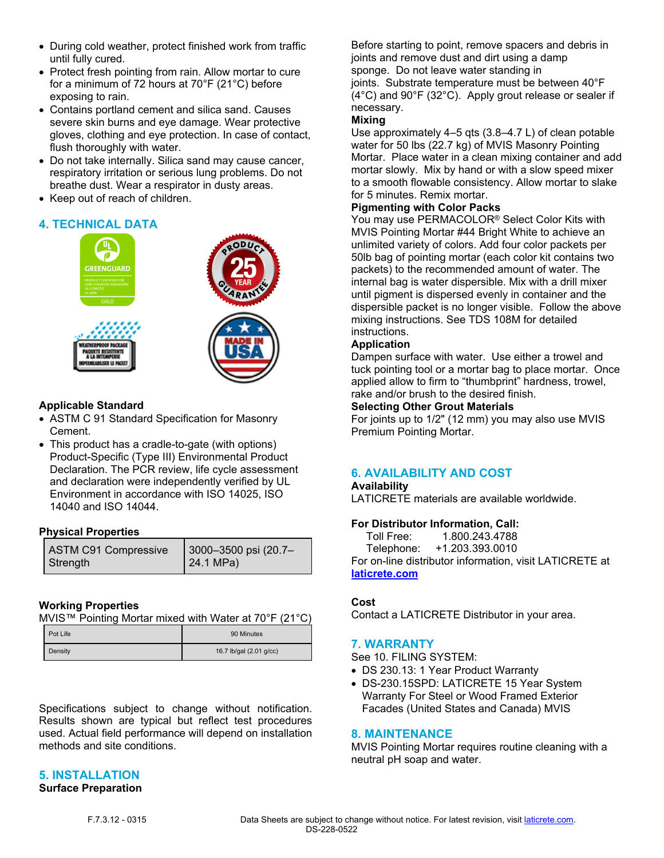- During cold weather, protect finished work from traffic until fully cured.
- Protect fresh pointing from rain. Allow mortar to cure for a minimum of 72 hours at 70°F (21°C) before exposing to rain.
- Contains portland cement and silica sand. Causes severe skin burns and eye damage. Wear protective gloves, clothing and eye protection. In case of contact, flush thoroughly with water.
- Do not take internally. Silica sand may cause cancer, respiratory irritation or serious lung problems. Do not breathe dust. Wear a respirator in dusty areas.
- Keep out of reach of children.

# **4. TECHNICAL DATA**



## **Applicable Standard**

- ASTM C 91 Standard Specification for Masonry Cement.
- This product has a cradle-to-gate (with options) Product-Specific (Type III) Environmental Product Declaration. The PCR review, life cycle assessment and declaration were independently verified by UL Environment in accordance with ISO 14025, ISO 14040 and ISO 14044.

### **Physical Properties**

| ASTM C91 Compressive | 3000-3500 psi (20.7- |
|----------------------|----------------------|
| Strength             | $\vert$ 24.1 MPa)    |

# **Working Properties**

MVIS™ Pointing Mortar mixed with Water at 70°F (21°C)

| Pot Life | 90 Minutes              |
|----------|-------------------------|
| Density  | 16.7 lb/gal (2.01 g/cc) |

Specifications subject to change without notification. Results shown are typical but reflect test procedures used. Actual field performance will depend on installation methods and site conditions.

# **5. INSTALLATION**

# **Surface Preparation**

Before starting to point, remove spacers and debris in joints and remove dust and dirt using a damp sponge. Do not leave water standing in joints. Substrate temperature must be between 40°F (4°C) and 90°F (32°C). Apply grout release or sealer if necessary.

### **Mixing**

Use approximately 4–5 qts (3.8–4.7 L) of clean potable water for 50 lbs (22.7 kg) of MVIS Masonry Pointing Mortar. Place water in a clean mixing container and add mortar slowly. Mix by hand or with a slow speed mixer to a smooth flowable consistency. Allow mortar to slake for 5 minutes. Remix mortar.

### **Pigmenting with Color Packs**

You may use PERMACOLOR® Select Color Kits with MVIS Pointing Mortar #44 Bright White to achieve an unlimited variety of colors. Add four color packets per 50lb bag of pointing mortar (each color kit contains two packets) to the recommended amount of water. The internal bag is water dispersible. Mix with a drill mixer until pigment is dispersed evenly in container and the dispersible packet is no longer visible. Follow the above mixing instructions. See TDS 108M for detailed instructions.

### **Application**

Dampen surface with water. Use either a trowel and tuck pointing tool or a mortar bag to place mortar. Once applied allow to firm to "thumbprint" hardness, trowel, rake and/or brush to the desired finish.

### **Selecting Other Grout Materials**

For joints up to 1/2" (12 mm) you may also use MVIS Premium Pointing Mortar.

# **6. AVAILABILITY AND COST**

### **Availability**

LATICRETE materials are available worldwide.

### **For Distributor Information, Call:**

 Toll Free: 1.800.243.4788 Telephone: +1.203.393.0010 For on-line distributor information, visit LATICRETE at **[laticrete.com](https://laticrete.com/)**

### **Cost**

Contact a LATICRETE Distributor in your area.

### **7. WARRANTY**

See 10. FILING SYSTEM:

- DS 230.13: 1 Year Product Warranty
- DS-230.15SPD: LATICRETE 15 Year System Warranty For Steel or Wood Framed Exterior Facades (United States and Canada) MVIS

### **8. MAINTENANCE**

MVIS Pointing Mortar requires routine cleaning with a neutral pH soap and water.